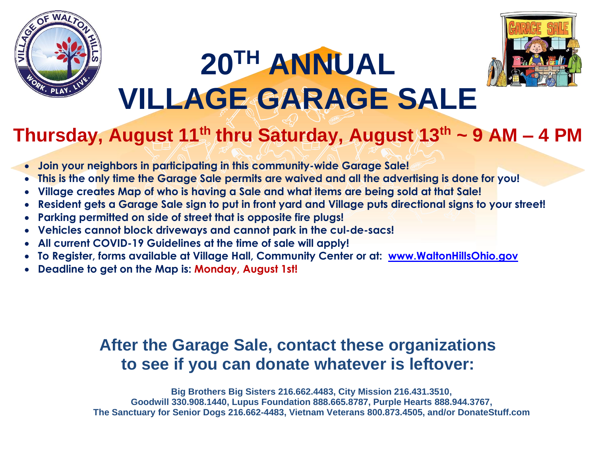

## **20TH ANNUAL VILLAGE GARAGE SALE**



## **Thursday, August 11 th thru Saturday, August 13th ~ 9 AM – 4 PM**

- **Join your neighbors in participating in this community-wide Garage Sale!**
- **This is the only time the Garage Sale permits are waived and all the advertising is done for you!**
- **Village creates Map of who is having a Sale and what items are being sold at that Sale!**
- **Resident gets a Garage Sale sign to put in front yard and Village puts directional signs to your street!**
- **Parking permitted on side of street that is opposite fire plugs!**
- **Vehicles cannot block driveways and cannot park in the cul-de-sacs!**
- **All current COVID-19 Guidelines at the time of sale will apply!**
- **To Register, forms available at Village Hall, Community Center or at: [www.WaltonHillsOhio.gov](http://www.waltonhillsohio.gov/)**
- **Deadline to get on the Map is: Monday, August 1st!**

## **After the Garage Sale, contact these organizations to see if you can donate whatever is leftover:**

**Big Brothers Big Sisters 216.662.4483, City Mission 216.431.3510, Goodwill 330.908.1440, Lupus Foundation 888.665.8787, Purple Hearts 888.944.3767, The Sanctuary for Senior Dogs 216.662-4483, Vietnam Veterans 800.873.4505, and/or DonateStuff.com**